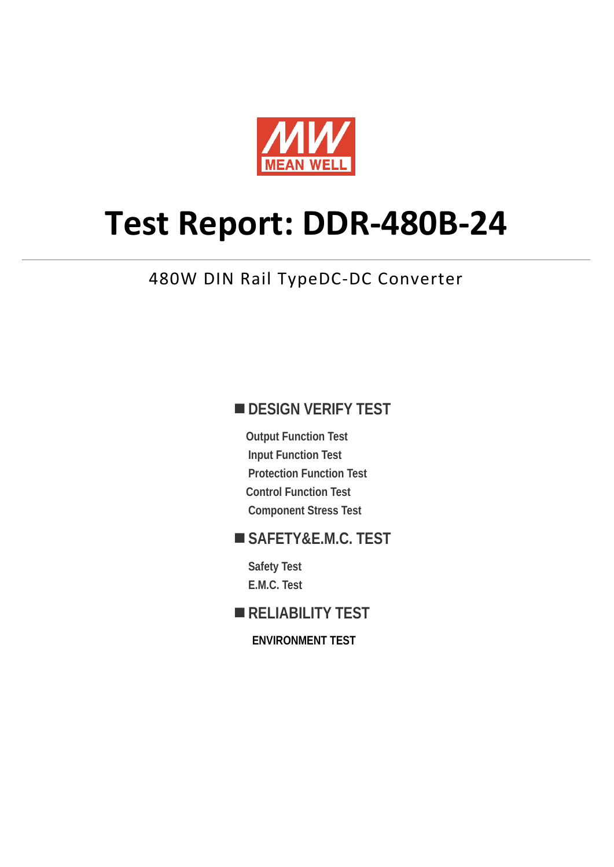

# **Test Report: DDR-480B-24**

# 480W DIN Rail TypeDC-DC Converter

# **DESIGN VERIFY TEST**

**Output Function Test Input Function Test Protection Function Test Control Function Test Component Stress Test** 

# **SAFETY&E.M.C. TEST**

**Safety Test E.M.C. Test** 

# **RELIABILITY TEST**

**ENVIRONMENT TEST**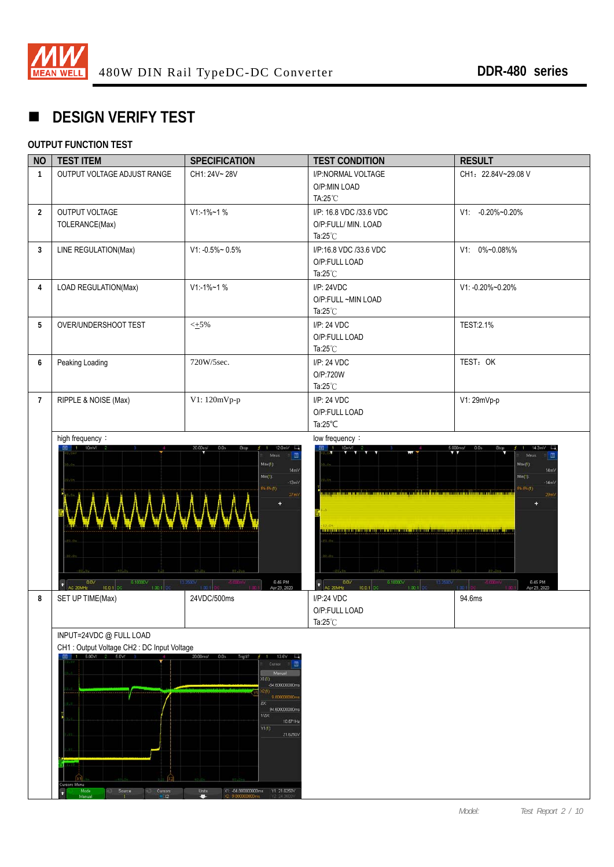

# **DESIGN VERIFY TEST**

### **OUTPUT FUNCTION TEST**

| <b>NO</b>      | <b>TEST ITEM</b>                                                                                                                                               | <b>SPECIFICATION</b>                                                                                                                                                                                                                 | <b>TEST CONDITION</b>                                                                                                                                                                                                                                                                 | <b>RESULT</b>                                                                                  |
|----------------|----------------------------------------------------------------------------------------------------------------------------------------------------------------|--------------------------------------------------------------------------------------------------------------------------------------------------------------------------------------------------------------------------------------|---------------------------------------------------------------------------------------------------------------------------------------------------------------------------------------------------------------------------------------------------------------------------------------|------------------------------------------------------------------------------------------------|
| $\mathbf{1}$   | OUTPUT VOLTAGE ADJUST RANGE                                                                                                                                    | CH1: 24V~28V                                                                                                                                                                                                                         | I/P:NORMAL VOLTAGE<br>O/P:MIN LOAD<br>TA:25°C                                                                                                                                                                                                                                         | CH1: 22.84V~29.08 V                                                                            |
| $\overline{2}$ | OUTPUT VOLTAGE<br>$V1:1\%$ ~1 %<br>TOLERANCE(Max)                                                                                                              |                                                                                                                                                                                                                                      | I/P: 16.8 VDC /33.6 VDC<br>O/P:FULL/ MIN. LOAD<br>Ta: $25^{\circ}$ C                                                                                                                                                                                                                  | V1: -0.20%~0.20%                                                                               |
| 3              | LINE REGULATION(Max)                                                                                                                                           | $V1: -0.5\% \sim 0.5\%$                                                                                                                                                                                                              | I/P:16.8 VDC /33.6 VDC<br>O/P:FULL LOAD<br>Ta: $25^{\circ}$ C                                                                                                                                                                                                                         | V1: 0%~0.08%%                                                                                  |
| 4              | LOAD REGULATION(Max)                                                                                                                                           | $V1: -1\% - 1\%$                                                                                                                                                                                                                     | I/P: 24VDC<br>O/P:FULL ~MIN LOAD<br>Ta: $25^{\circ}$ C                                                                                                                                                                                                                                | V1: -0.20%~0.20%                                                                               |
| 5              | OVER/UNDERSHOOT TEST                                                                                                                                           | $\leq$ +5%                                                                                                                                                                                                                           | I/P: 24 VDC<br>O/P:FULL LOAD<br>Ta: $25^{\circ}$ C                                                                                                                                                                                                                                    | <b>TEST:2.1%</b>                                                                               |
| 6              | Peaking Loading                                                                                                                                                | 720W/5sec.                                                                                                                                                                                                                           | I/P: 24 VDC<br>O/P:720W<br>Ta: $25^{\circ}$ C                                                                                                                                                                                                                                         | TEST: OK                                                                                       |
| $\overline{7}$ | RIPPLE & NOISE (Max)                                                                                                                                           | V1: 120mVp-p                                                                                                                                                                                                                         | I/P: 24 VDC<br>O/P:FULL LOAD<br>Ta: $25^{\circ}$ C                                                                                                                                                                                                                                    | V1: 29mVp-p                                                                                    |
|                | 0.0V<br>6.10000V<br>$1.00 - 1$<br>AC 20MHz<br>10.0.1 DC                                                                                                        | Meas<br>$Mac(1)$ :<br>14mV<br>$Min(1)$ :<br>$-13m\sqrt{ }$<br>Pk.Pk(1)<br>6:46 PM<br>Apr 23, 2020<br>12,2800                                                                                                                         | <u>in de la cière de la compartir de la cière de la comparativa de la com</u><br><u>Lebuleu gebegduran Kalendari, dibatikan din dinambarkan dengan dike</u><br>$\begin{array}{ l } \hline 0.0\mathrm{V} \\ \hline \end{array}$ AC 20MHz<br>6.10000V<br>12.2500<br>1.00:1<br>10.0:1 DC | Meas<br>$Max(1)$ :<br>14mV<br>$Min(1)$ :<br>$-14mV$<br>$Pk$ $Pk(1)$<br>6:45 PM<br>Apr 23, 2020 |
| 8              | SET UP TIME(Max)                                                                                                                                               | 24VDC/500ms                                                                                                                                                                                                                          | I/P:24 VDC<br>O/P:FULL LOAD<br>Ta:25°C                                                                                                                                                                                                                                                | 94.6ms                                                                                         |
|                | INPUT=24VDC @ FULL LOAD<br>CH1 : Output Voltage CH2 : DC Input Voltage<br>5.00V/<br>2 5.0V<br>ursors Menu<br>Made<br>Manual<br>Source<br>Cursors<br><b>ixe</b> | $20.00$ ms/<br>0.0s<br>Trig di<br>13.6<br>Curson<br>Manual<br>X1(1)<br>-84.80000000m<br>20<br>9.80000000<br>ΔX<br>94.600000000m<br>1/AX<br>10.571Hz<br>Y1(1)<br>21.6250V<br><b>Units</b><br>X1: -84.800000000ms<br>Y1: 21.6250V<br>o |                                                                                                                                                                                                                                                                                       |                                                                                                |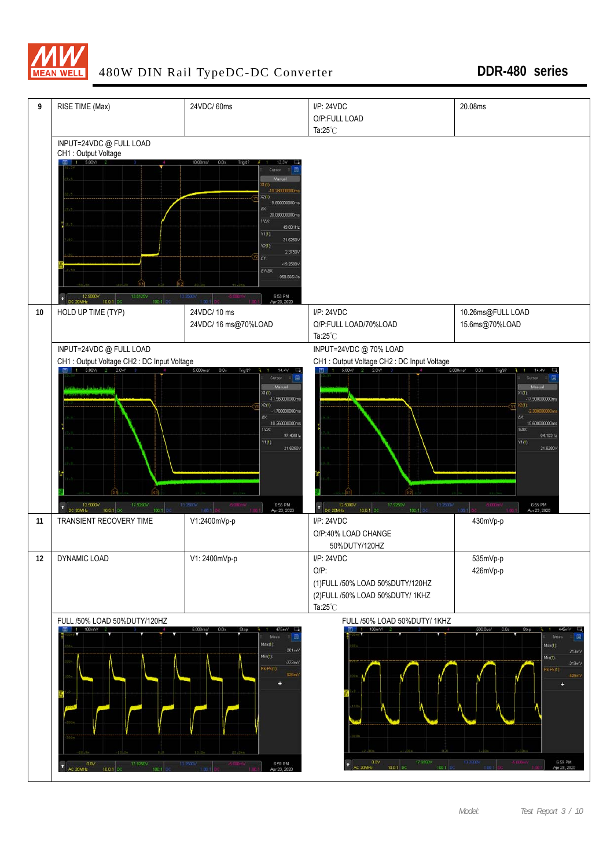

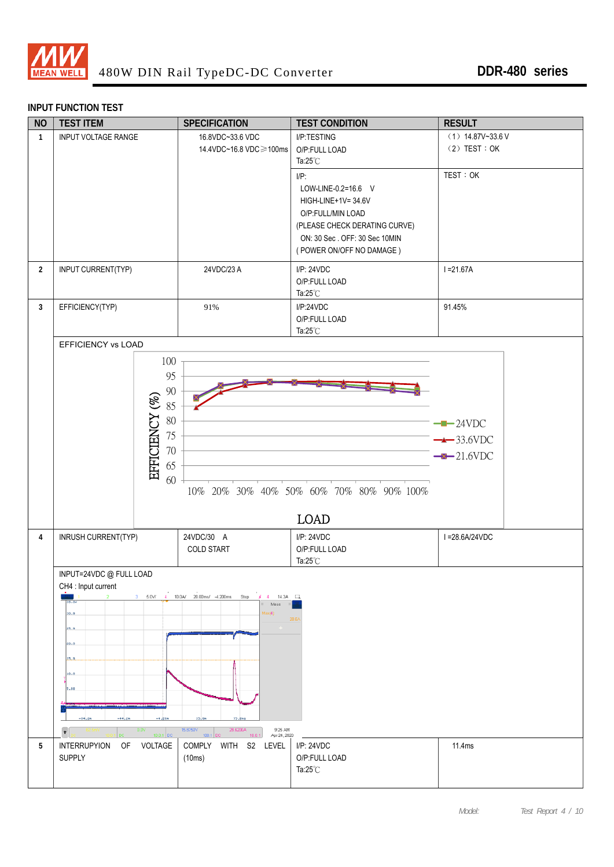

#### **INPUT FUNCTION TEST**

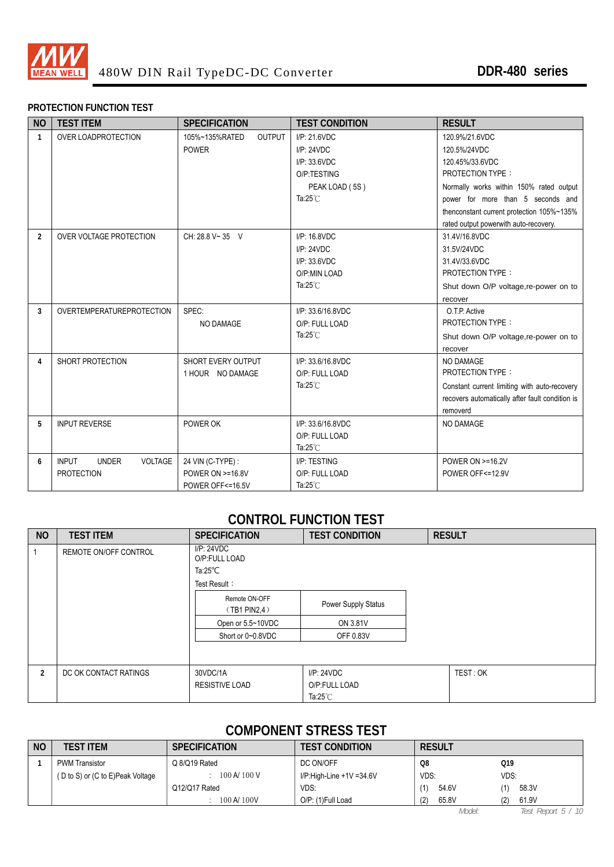

#### **PROTECTION FUNCTION TEST**

| <b>NO</b>      | <b>TEST ITEM</b>                                                    | <b>SPECIFICATION</b>                                      | <b>TEST CONDITION</b>                                                                             | <b>RESULT</b>                                                                                                                                                                                             |
|----------------|---------------------------------------------------------------------|-----------------------------------------------------------|---------------------------------------------------------------------------------------------------|-----------------------------------------------------------------------------------------------------------------------------------------------------------------------------------------------------------|
| $\mathbf{1}$   | OVER LOADPROTECTION                                                 | 105%~135%RATED<br><b>OUTPUT</b><br><b>POWER</b>           | I/P: 21.6VDC<br>I/P: 24VDC<br>I/P: 33.6VDC<br>O/P:TESTING<br>PEAK LOAD (5S)<br>Ta: $25^{\circ}$ C | 120.9%/21.6VDC<br>120.5%/24VDC<br>120.45%/33.6VDC<br><b>PROTECTION TYPE:</b><br>Normally works within 150% rated output<br>power for more than 5 seconds and<br>thenconstant current protection 105%~135% |
| $\overline{2}$ | <b>OVER VOLTAGE PROTECTION</b>                                      | CH: 28.8 V~35 V                                           | I/P: 16.8VDC<br>I/P: 24VDC<br>I/P: 33.6VDC<br>O/P:MIN LOAD<br>Ta: $25^{\circ}$ C                  | rated output powerwith auto-recovery.<br>31.4V/16.8VDC<br>31.5V/24VDC<br>31.4V/33.6VDC<br><b>PROTECTION TYPE:</b><br>Shut down O/P voltage, re-power on to<br>recover                                     |
| 3              | OVERTEMPERATUREPROTECTION                                           | SPEC:<br>NO DAMAGE                                        | I/P: 33.6/16.8VDC<br>O/P: FULL LOAD<br>Ta: $25^{\circ}$ C                                         | O.T.P. Active<br><b>PROTECTION TYPE:</b><br>Shut down O/P voltage, re-power on to<br>recover                                                                                                              |
| 4              | SHORT PROTECTION                                                    | SHORT EVERY OUTPUT<br>1 HOUR NO DAMAGE                    | I/P: 33.6/16.8VDC<br>O/P: FULL LOAD<br>Ta: $25^{\circ}$ C                                         | NO DAMAGE<br><b>PROTECTION TYPE:</b><br>Constant current limiting with auto-recovery<br>recovers automatically after fault condition is<br>removerd                                                       |
| 5              | <b>INPUT REVERSE</b>                                                | POWER OK                                                  | I/P: 33.6/16.8VDC<br>O/P: FULL LOAD<br>Ta: $25^{\circ}$ C                                         | NO DAMAGE                                                                                                                                                                                                 |
| 6              | <b>VOLTAGE</b><br><b>INPUT</b><br><b>UNDER</b><br><b>PROTECTION</b> | 24 VIN (C-TYPE) :<br>POWER ON >=16.8V<br>POWER OFF<=16.5V | I/P: TESTING<br>O/P: FULL LOAD<br>Ta: $25^{\circ}$ C                                              | <b>POWER ON &gt;=16.2V</b><br>POWER OFF<=12.9V                                                                                                                                                            |

### **CONTROL FUNCTION TEST**

| <b>NO</b>      | <b>TEST ITEM</b>      | <b>SPECIFICATION</b><br><b>TEST CONDITION</b> |                            | <b>RESULT</b> |
|----------------|-----------------------|-----------------------------------------------|----------------------------|---------------|
|                | REMOTE ON/OFF CONTROL | I/P: 24VDC<br>O/P:FULL LOAD                   |                            |               |
|                |                       | Ta:25 $^{\circ}$ C                            |                            |               |
|                |                       | Test Result:                                  |                            |               |
|                |                       | Remote ON-OFF<br>$(TB1$ PIN2,4)               | <b>Power Supply Status</b> |               |
|                |                       | Open or 5.5~10VDC                             | ON 3.81V                   |               |
|                |                       | Short or 0~0.8VDC                             | OFF 0.83V                  |               |
|                |                       |                                               |                            |               |
| $\overline{2}$ | DC OK CONTACT RATINGS | 30VDC/1A                                      | IP: 24VDC                  | TEST: OK      |
|                |                       | <b>RESISTIVE LOAD</b>                         | O/P:FULL LOAD              |               |
|                |                       |                                               | Ta: $25^{\circ}$ C         |               |

# **COMPONENT STRESS TEST**

| <b>NO</b> | <b>TEST ITEM</b>                 | <b>SPECIFICATION</b> | <b>TEST CONDITION</b>    | <b>RESULT</b> |              |  |
|-----------|----------------------------------|----------------------|--------------------------|---------------|--------------|--|
|           | <b>PWM Transistor</b>            | Q 8/Q19 Rated        | DC ON/OFF                | O8            | Q19          |  |
|           | (D to S) or (C to E)Peak Voltage | 100 A/ 100 V         | I/P:High-Line +1V =34.6V | VDS:          | VDS:         |  |
|           |                                  | 012/017 Rated        | VDS:                     | 54.6V         | 58.3V        |  |
|           |                                  | 100 A/ 100V          | O/P: (1)Full Load        | (2)<br>65.8V  | 61.9V<br>(2) |  |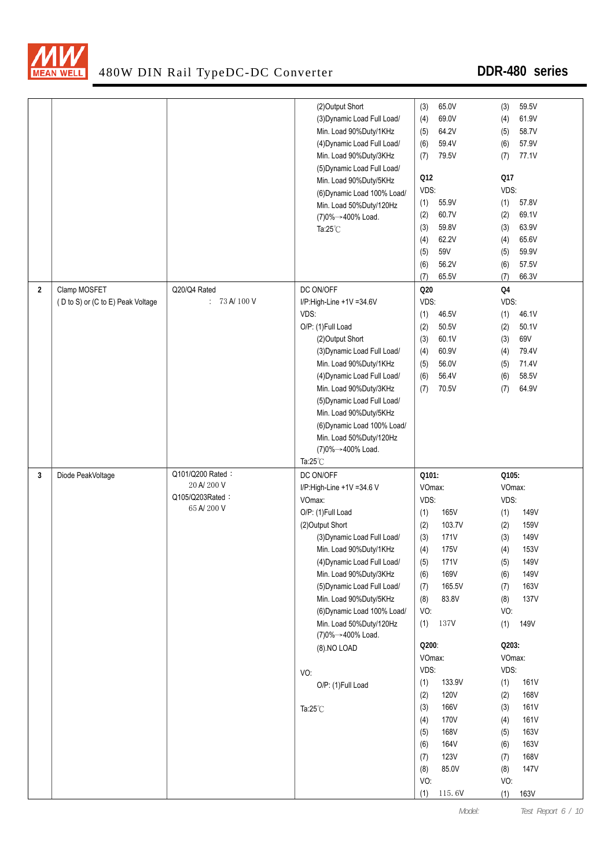

|   |                                   |                                  | (2) Output Short            | (3)        | 65.0V       | (3)        | 59.5V       |
|---|-----------------------------------|----------------------------------|-----------------------------|------------|-------------|------------|-------------|
|   |                                   |                                  | (3) Dynamic Load Full Load/ | (4)        | 69.0V       | (4)        | 61.9V       |
|   |                                   |                                  | Min. Load 90%Duty/1KHz      | (5)        | 64.2V       | (5)        | 58.7V       |
|   |                                   |                                  | (4) Dynamic Load Full Load/ | (6)        | 59.4V       | (6)        | 57.9V       |
|   |                                   |                                  | Min. Load 90%Duty/3KHz      | (7)        | 79.5V       | (7)        | 77.1V       |
|   |                                   |                                  | (5) Dynamic Load Full Load/ |            |             |            |             |
|   |                                   |                                  | Min. Load 90%Duty/5KHz      | Q12        |             | Q17        |             |
|   |                                   |                                  | (6) Dynamic Load 100% Load/ | VDS:       |             | VDS:       |             |
|   |                                   |                                  | Min. Load 50%Duty/120Hz     | (1)        | 55.9V       | (1)        | 57.8V       |
|   |                                   |                                  | (7)0%→400% Load.            | (2)        | 60.7V       | (2)        | 69.1V       |
|   |                                   |                                  | Ta: $25^{\circ}$ C          | (3)        | 59.8V       | (3)        | 63.9V       |
|   |                                   |                                  |                             | (4)        | 62.2V       | (4)        | 65.6V       |
|   |                                   |                                  |                             | (5)        | 59V         | (5)        | 59.9V       |
|   |                                   |                                  |                             | (6)        | 56.2V       | (6)        | 57.5V       |
|   |                                   |                                  |                             | (7)        | 65.5V       | (7)        | 66.3V       |
| 2 | Clamp MOSFET                      | Q20/Q4 Rated                     | DC ON/OFF                   | Q20        |             | Q4         |             |
|   | (D to S) or (C to E) Peak Voltage | $: 73 \text{ A} / 100 \text{ V}$ | I/P:High-Line +1V =34.6V    | VDS:       |             | VDS:       |             |
|   |                                   |                                  | VDS:                        |            | 46.5V       |            | 46.1V       |
|   |                                   |                                  | O/P: (1)Full Load           | (1)        |             | (1)        |             |
|   |                                   |                                  |                             | (2)        | 50.5V       | (2)        | 50.1V       |
|   |                                   |                                  | (2) Output Short            | (3)        | 60.1V       | (3)        | 69V         |
|   |                                   |                                  | (3) Dynamic Load Full Load/ | (4)        | 60.9V       | (4)        | 79.4V       |
|   |                                   |                                  | Min. Load 90%Duty/1KHz      | (5)        | 56.0V       | (5)        | 71.4V       |
|   |                                   |                                  | (4) Dynamic Load Full Load/ | (6)        | 56.4V       | (6)        | 58.5V       |
|   |                                   |                                  | Min. Load 90%Duty/3KHz      | (7)        | 70.5V       | (7)        | 64.9V       |
|   |                                   |                                  | (5) Dynamic Load Full Load/ |            |             |            |             |
|   |                                   |                                  | Min. Load 90%Duty/5KHz      |            |             |            |             |
|   |                                   |                                  | (6) Dynamic Load 100% Load/ |            |             |            |             |
|   |                                   |                                  | Min. Load 50%Duty/120Hz     |            |             |            |             |
|   |                                   |                                  |                             |            |             |            |             |
|   |                                   |                                  | (7)0%→400% Load.            |            |             |            |             |
|   |                                   |                                  | Ta: $25^{\circ}$ C          |            |             |            |             |
| 3 | Diode PeakVoltage                 | Q101/Q200 Rated:                 | DC ON/OFF                   | Q101:      |             | Q105:      |             |
|   |                                   | 20 A/ 200 V                      | I/P:High-Line +1V =34.6 V   | VOmax:     |             | VOmax:     |             |
|   |                                   | Q105/Q203Rated:                  | VOmax:                      | VDS:       |             | VDS:       |             |
|   |                                   | 65 A/200 V                       | O/P: (1)Full Load           | (1)        | 165V        | (1)        | 149V        |
|   |                                   |                                  | (2)Output Short             | (2)        | 103.7V      | (2)        | 159V        |
|   |                                   |                                  | (3) Dynamic Load Full Load/ | (3)        | 171V        | (3)        | 149V        |
|   |                                   |                                  | Min. Load 90%Duty/1KHz      | (4)        | 175V        | (4)        | 153V        |
|   |                                   |                                  | (4) Dynamic Load Full Load/ | (5)        | 171V        | (5)        | 149V        |
|   |                                   |                                  | Min. Load 90%Duty/3KHz      | (6)        | 169V        | (6)        | <b>149V</b> |
|   |                                   |                                  | (5) Dynamic Load Full Load/ | (7)        | 165.5V      | (7)        | 163V        |
|   |                                   |                                  | Min. Load 90%Duty/5KHz      | (8)        | 83.8V       |            | <b>137V</b> |
|   |                                   |                                  | (6) Dynamic Load 100% Load/ | VO:        |             | (8)<br>VO: |             |
|   |                                   |                                  | Min. Load 50%Duty/120Hz     |            | 137V        |            |             |
|   |                                   |                                  |                             | (1)        |             | (1)        | 149V        |
|   |                                   |                                  | (7)0%→400% Load.            | Q200:      |             | Q203:      |             |
|   |                                   |                                  | (8).NO LOAD                 | VOmax:     |             | VOmax:     |             |
|   |                                   |                                  |                             | VDS:       |             | VDS:       |             |
|   |                                   |                                  | VO:                         | (1)        | 133.9V      | (1)        | 161V        |
|   |                                   |                                  | O/P: (1)Full Load           | (2)        | 120V        | (2)        | 168V        |
|   |                                   |                                  |                             | (3)        | 166V        | (3)        | 161V        |
|   |                                   |                                  | Ta: $25^{\circ}$ C          |            | 170V        |            |             |
|   |                                   |                                  |                             | (4)        | 168V        | (4)        | 161V        |
|   |                                   |                                  |                             | (5)        |             | (5)        | 163V        |
|   |                                   |                                  |                             | (6)        | 164V        | (6)        | 163V        |
|   |                                   |                                  |                             | (7)        | <b>123V</b> | (7)        | 168V        |
|   |                                   |                                  |                             | (8)        | 85.0V       | (8)        | 147V        |
|   |                                   |                                  |                             | VO:<br>(1) | 115.6V      | VO:<br>(1) | 163V        |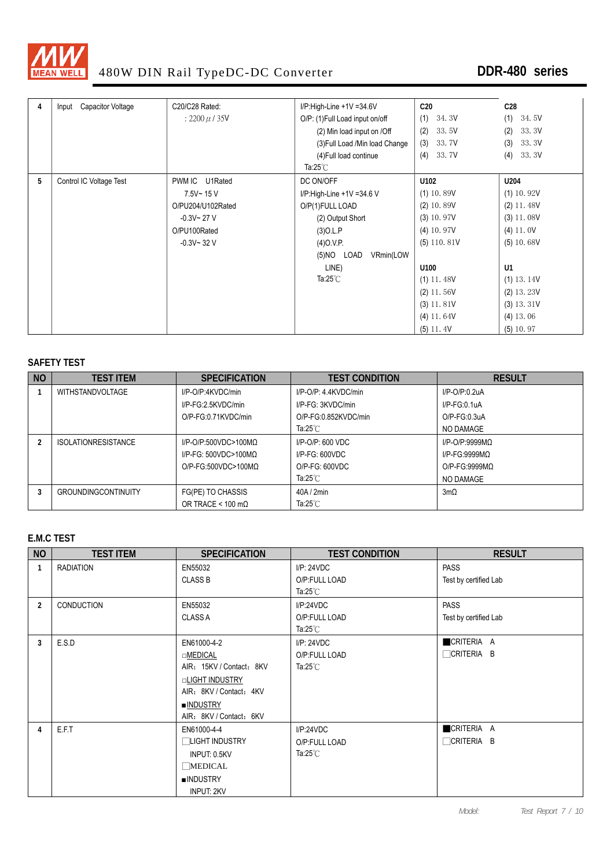

| 4 | Capacitor Voltage<br>Input | C20/C28 Rated:     | $I/P$ :High-Line +1V =34.6V     | C <sub>20</sub> | C <sub>28</sub> |
|---|----------------------------|--------------------|---------------------------------|-----------------|-----------------|
|   |                            | : 2200 $\mu$ / 35V | O/P: (1) Full Load input on/off | 34.3V<br>(1)    | 34.5V<br>(1)    |
|   |                            |                    | (2) Min load input on /Off      | 33.5V<br>(2)    | 33.3V<br>(2)    |
|   |                            |                    | (3) Full Load / Min load Change | 33.7V<br>(3)    | 33.3V<br>(3)    |
|   |                            |                    | (4) Full load continue          | (4)<br>33.7V    | 33.3V<br>(4)    |
|   |                            |                    | Ta: $25^{\circ}$ C              |                 |                 |
| 5 | Control IC Voltage Test    | PWM IC U1Rated     | DC ON/OFF                       | U102            | U204            |
|   |                            | 7.5V~15V           | I/P:High-Line +1V =34.6 V       | $(1)$ 10.89V    | $(1)$ 10.92V    |
|   |                            | O/PU204/U102Rated  | O/P(1)FULL LOAD                 | $(2)$ 10.89V    | $(2)$ 11.48V    |
|   |                            | $-0.3V - 27V$      | (2) Output Short                | $(3)$ 10.97V    | $(3)$ 11.08V    |
|   |                            | O/PU100Rated       | $(3)$ O.L.P                     | $(4)$ 10.97V    | $(4)$ 11. 0V    |
|   |                            | $-0.3V - 32V$      | (4)O.V.P.                       | $(5)$ 110.81V   | $(5)$ 10.68V    |
|   |                            |                    | (5)NO LOAD<br>VRmin(LOW         |                 |                 |
|   |                            |                    | LINE)                           | U100            | U1              |
|   |                            |                    | Ta: $25^{\circ}$ C              | $(1)$ 11.48V    | $(1)$ 13.14V    |
|   |                            |                    |                                 | $(2)$ 11.56V    | $(2)$ 13.23V    |
|   |                            |                    |                                 | $(3)$ 11.81V    | $(3)$ 13.31V    |
|   |                            |                    |                                 | $(4)$ 11.64V    | $(4)$ 13.06     |
|   |                            |                    |                                 | $(5)$ 11.4V     | $(5)$ 10.97     |

#### **SAFETY TEST**

| <b>NO</b> | <b>TEST ITEM</b>           | <b>SPECIFICATION</b>             | <b>TEST CONDITION</b>   | <b>RESULT</b>      |
|-----------|----------------------------|----------------------------------|-------------------------|--------------------|
|           | <b>WITHSTANDVOLTAGE</b>    | I/P-O/P:4KVDC/min                | $I/P$ -O/P: 4 4KVDC/min | $I/P$ -O/P:0.2uA   |
|           |                            | I/P-FG:2.5KVDC/min               | I/P-FG: 3KVDC/min       | $I/P-FG:0.1uA$     |
|           |                            | O/P-FG:0.71KVDC/min              | O/P-FG:0.852KVDC/min    | $O/P$ - $FG:0.3uA$ |
|           |                            |                                  | Ta:25 $^{\circ}$ C      | NO DAMAGE          |
|           | <b>ISOLATIONRESISTANCE</b> | $I/P$ -O/P:500VDC>100MQ          | $I/P$ -O/P: 600 VDC     | $I/P$ -O/P:9999MQ  |
|           |                            | $I/P-FG: 500VDC > 100MO$         | $I/P-FG: 600VDC$        | $I/P-FG:9999MO$    |
|           |                            | $O/P$ -FG:500VDC>100MQ           | $O/P$ -FG: $600VDC$     | $O/P-FG:9999MO$    |
|           |                            |                                  | Ta:25 $°C$              | NO DAMAGE          |
|           | <b>GROUNDINGCONTINUITY</b> | FG(PE) TO CHASSIS                | 40A/2min                | $3m\Omega$         |
|           |                            | OR TRACE < $100 \text{ m}\Omega$ | Ta:25 $°C$              |                    |

#### **E.M.C TEST**

| <b>NO</b>      | <b>TEST ITEM</b>  | <b>SPECIFICATION</b>     | <b>TEST CONDITION</b> | <b>RESULT</b>         |
|----------------|-------------------|--------------------------|-----------------------|-----------------------|
| $\mathbf{1}$   | <b>RADIATION</b>  | EN55032                  | I/P: 24VDC            | <b>PASS</b>           |
|                |                   | <b>CLASS B</b>           | O/P:FULL LOAD         | Test by certified Lab |
|                |                   |                          | Ta:25 $^{\circ}$ C    |                       |
| $\overline{2}$ | <b>CONDUCTION</b> | EN55032                  | I/P:24VDC             | <b>PASS</b>           |
|                |                   | <b>CLASS A</b>           | O/P:FULL LOAD         | Test by certified Lab |
|                |                   |                          | Ta: $25^{\circ}$ C    |                       |
| 3              | E.S.D             | EN61000-4-2              | I/P: 24VDC            | CRITERIA A            |
|                |                   | □MEDICAL                 | O/P:FULL LOAD         | <b>OCRITERIA B</b>    |
|                |                   | AIR: 15KV / Contact: 8KV | Ta: $25^{\circ}$ C    |                       |
|                |                   | □LIGHT INDUSTRY          |                       |                       |
|                |                   | AIR: 8KV / Contact: 4KV  |                       |                       |
|                |                   | ■INDUSTRY                |                       |                       |
|                |                   | AIR: 8KV / Contact: 6KV  |                       |                       |
| 4              | E.F.T             | EN61000-4-4              | I/P:24VDC             | CRITERIA A            |
|                |                   | ∏LIGHT INDUSTRY          | O/P:FULL LOAD         | $\Box$ Criteria b     |
|                |                   | INPUT: 0.5KV             | Ta: $25^{\circ}$ C    |                       |
|                |                   | <b>MEDICAL</b>           |                       |                       |
|                |                   | <b>INDUSTRY</b>          |                       |                       |
|                |                   | <b>INPUT: 2KV</b>        |                       |                       |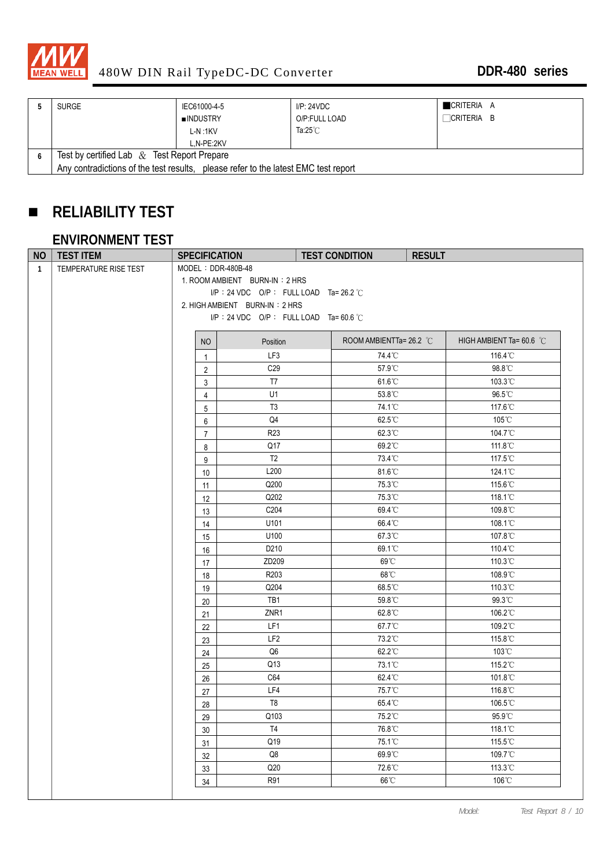

| <b>SURGE</b>                                                                       | IEC61000-4-5    | I/P: 24VDC         | CRITERIA A        |  |  |
|------------------------------------------------------------------------------------|-----------------|--------------------|-------------------|--|--|
|                                                                                    | <b>INDUSTRY</b> | O/P:FULL LOAD      | $\Box$ Criteria b |  |  |
|                                                                                    | L-N:1KV         | Ta: $25^{\circ}$ C |                   |  |  |
|                                                                                    | L.N-PE:2KV      |                    |                   |  |  |
| Test by certified Lab $\&$ Test Report Prepare                                     |                 |                    |                   |  |  |
| Any contradictions of the test results, please refer to the latest EMC test report |                 |                    |                   |  |  |

# **RELIABILITY TEST**

### **ENVIRONMENT TEST**

| <b>NO</b>    | <b>TEST ITEM</b>      | <b>SPECIFICATION</b> |                                        | <b>TEST CONDITION</b><br><b>RESULT</b> |                                    |
|--------------|-----------------------|----------------------|----------------------------------------|----------------------------------------|------------------------------------|
| $\mathbf{1}$ | TEMPERATURE RISE TEST | MODEL: DDR-480B-48   |                                        |                                        |                                    |
|              |                       |                      | 1. ROOM AMBIENT BURN-IN: 2 HRS         |                                        |                                    |
|              |                       |                      | I/P: 24 VDC O/P: FULL LOAD Ta= 26.2 °C |                                        |                                    |
|              |                       |                      | 2. HIGH AMBIENT BURN-IN: 2 HRS         |                                        |                                    |
|              |                       |                      | I/P: 24 VDC O/P: FULL LOAD Ta=60.6 °C  |                                        |                                    |
|              |                       | NO                   | Position                               | ROOM AMBIENTTa= 26.2 °C                | HIGH AMBIENT Ta= 60.6 $^{\circ}$ C |
|              |                       | $\mathbf{1}$         | LF3                                    | 74.4°C                                 | 116.4°C                            |
|              |                       | $\overline{2}$       | C <sub>29</sub>                        | 57.9°C                                 | 98.8°C                             |
|              |                       | 3                    | T7                                     | $61.6^{\circ}$ C                       | 103.3°C                            |
|              |                       | $\overline{4}$       | U1                                     | 53.8°C                                 | 96.5°C                             |
|              |                       | 5                    | T <sub>3</sub>                         | 74.1°C                                 | 117.6℃                             |
|              |                       | 6                    | Q4                                     | 62.5°C                                 | 105°C                              |
|              |                       | $\overline{7}$       | R <sub>23</sub>                        | 62.3°C                                 | 104.7°C                            |
|              |                       | 8                    | Q17                                    | 69.2°C                                 | 111.8°C                            |
|              |                       | 9                    | T <sub>2</sub>                         | 73.4°C                                 | 117.5°C                            |
|              |                       | 10                   | L200                                   | 81.6°C                                 | 124.1°C                            |
|              |                       | 11                   | Q200                                   | 75.3°C                                 | 115.6°C                            |
|              |                       | 12                   | Q202                                   | 75.3°C                                 | 118.1°C                            |
|              |                       | 13                   | C204                                   | 69.4°C                                 | 109.8°C                            |
|              |                       | 14                   | U101                                   | 66.4°C                                 | 108.1°C                            |
|              |                       | 15                   | U100                                   | 67.3°C                                 | 107.8°C                            |
|              |                       | 16                   | D <sub>210</sub>                       | 69.1°C                                 | 110.4°C                            |
|              |                       | 17                   | ZD209                                  | 69°C                                   | 110.3°C                            |
|              |                       | 18                   | R203                                   | 68°C                                   | 108.9°C                            |
|              |                       | 19                   | Q204                                   | 68.5°C                                 | 110.3°C                            |
|              |                       | 20                   | TB1                                    | 59.8°C                                 | 99.3°C                             |
|              |                       | 21                   | ZNR1                                   | 62.8°C                                 | 106.2°C                            |
|              |                       | 22                   | LF1                                    | 67.7°C                                 | 109.2°C                            |
|              |                       | 23                   | LF <sub>2</sub>                        | 73.2°C                                 | 115.8°C                            |
|              |                       | 24                   | Q6                                     | 62.2°C                                 | $103^{\circ}$ C                    |
|              |                       | 25                   | Q13                                    | 73.1°C                                 | 115.2°C                            |
|              |                       | 26                   | C64                                    | 62.4°C                                 | 101.8°C                            |
|              |                       | 27                   | LF4                                    | 75.7°C                                 | 116.8°C                            |
|              |                       | 28                   | T <sub>8</sub>                         | 65.4°C                                 | 106.5°C                            |
|              |                       | 29                   | Q103                                   | 75.2°C                                 | 95.9°C                             |
|              |                       | $30\,$               | T4                                     | 76.8°C                                 | 118.1°C                            |
|              |                       | 31                   | Q19                                    | 75.1°C                                 | 115.5°C                            |
|              |                       | 32                   | $\mathsf{Q8}$                          | 69.9°C                                 | 109.7°C                            |
|              |                       | 33                   | Q20                                    | 72.6°C                                 | 113.3°C                            |
|              |                       | 34                   | R91                                    | 66°C                                   | 106°C                              |
|              |                       |                      |                                        |                                        |                                    |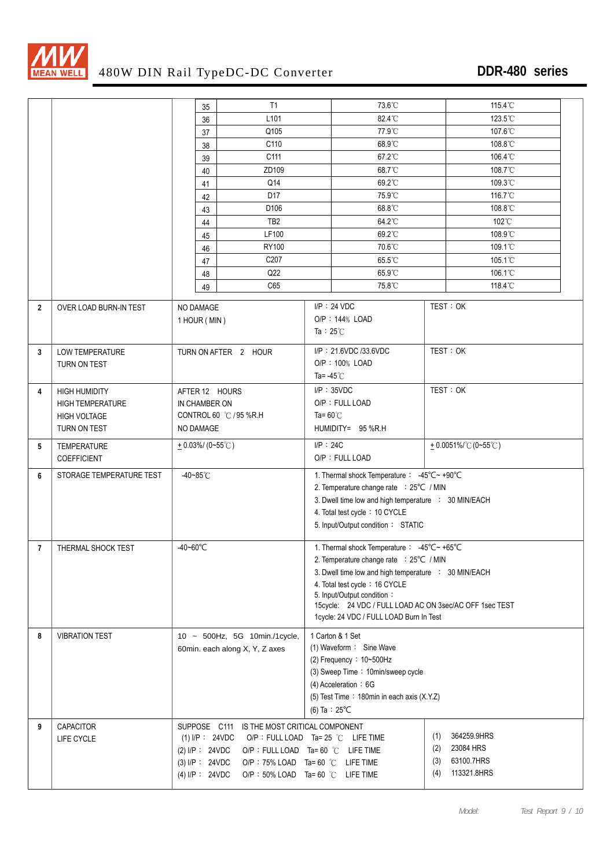

|                |                          |          | 35                  | T1                                            |                                            | 73.6°C                                                                                | 115.4°C                  |
|----------------|--------------------------|----------|---------------------|-----------------------------------------------|--------------------------------------------|---------------------------------------------------------------------------------------|--------------------------|
|                |                          |          | 36                  | L <sub>101</sub>                              |                                            | 82.4°C                                                                                | 123.5°C                  |
|                |                          |          | 37                  | Q105                                          |                                            | 77.9°C                                                                                | 107.6°C                  |
|                |                          |          | 38                  | C110                                          |                                            | 68.9°C                                                                                | 108.8°C                  |
|                |                          |          | 39                  | C111                                          |                                            | 67.2°C                                                                                | 106.4°C                  |
|                |                          |          | 40                  | ZD109                                         |                                            | 68.7°C                                                                                | 108.7°C                  |
|                |                          |          | 41                  | Q14                                           |                                            | 69.2°C                                                                                | 109.3°C                  |
|                |                          |          | 42                  | D17                                           |                                            | 75.9°C                                                                                | 116.7°C                  |
|                |                          |          | 43                  | D <sub>106</sub>                              |                                            | 68.8°C                                                                                | 108.8°C                  |
|                |                          |          | 44                  | TB <sub>2</sub>                               |                                            | 64.2°C                                                                                | $102^{\circ}$ C          |
|                |                          |          | 45                  | LF100                                         |                                            | 69.2°C                                                                                | 108.9°C                  |
|                |                          |          | 46                  | <b>RY100</b>                                  |                                            | 70.6°C                                                                                | 109.1°C                  |
|                |                          |          | 47                  | C207                                          |                                            | 65.5°C                                                                                | 105.1°C                  |
|                |                          |          | 48                  | Q22                                           |                                            | 65.9°C                                                                                | 106.1°C                  |
|                |                          |          | 49                  | C65                                           |                                            | 75.8°C                                                                                | 118.4°C                  |
|                |                          |          |                     |                                               |                                            |                                                                                       |                          |
| $\overline{2}$ | OVER LOAD BURN-IN TEST   |          | NO DAMAGE           |                                               |                                            | $I/P$ : 24 VDC                                                                        | TEST: OK                 |
|                |                          |          | 1 HOUR (MIN)        |                                               |                                            | O/P: 144% LOAD                                                                        |                          |
|                |                          |          |                     |                                               | Ta: $25^{\circ}$ C                         |                                                                                       |                          |
| 3              | LOW TEMPERATURE          |          |                     | TURN ON AFTER 2 HOUR                          |                                            | I/P: 21.6VDC /33.6VDC                                                                 | TEST: OK                 |
|                | TURN ON TEST             |          |                     |                                               |                                            | O/P: 100% LOAD                                                                        |                          |
|                |                          |          |                     |                                               | Ta= $-45^{\circ}$ C                        |                                                                                       |                          |
| 4              | <b>HIGH HUMIDITY</b>     |          |                     | AFTER 12 HOURS                                |                                            | $I/P$ : 35VDC                                                                         | TEST: OK                 |
|                | <b>HIGH TEMPERATURE</b>  |          | IN CHAMBER ON       |                                               |                                            | O/P: FULL LOAD                                                                        |                          |
|                | <b>HIGH VOLTAGE</b>      |          |                     | CONTROL 60 °C / 95 %R.H                       | Ta= $60^{\circ}$ C                         |                                                                                       |                          |
|                | TURN ON TEST             |          |                     |                                               |                                            | HUMIDITY= 95 %R.H                                                                     |                          |
|                |                          |          | NO DAMAGE           |                                               |                                            |                                                                                       |                          |
| 5              | <b>TEMPERATURE</b>       |          | $+$ 0.03%/ (0~55°C) |                                               | $I/P$ : 24C                                |                                                                                       | $+0.0051\%$ °C (0~55 °C) |
|                | <b>COEFFICIENT</b>       |          |                     |                                               |                                            | O/P: FULL LOAD                                                                        |                          |
| 6              | STORAGE TEMPERATURE TEST |          | -40~85°C            |                                               | 1. Thermal shock Temperature: -45°C~ +90°C |                                                                                       |                          |
|                |                          |          |                     |                                               | 2. Temperature change rate : 25°C / MIN    |                                                                                       |                          |
|                |                          |          |                     |                                               |                                            | 3. Dwell time low and high temperature : 30 MIN/EACH                                  |                          |
|                |                          |          |                     |                                               |                                            | 4. Total test cycle: 10 CYCLE                                                         |                          |
|                |                          |          |                     |                                               |                                            | 5. Input/Output condition: STATIC                                                     |                          |
|                |                          | -40~60°C |                     |                                               |                                            |                                                                                       |                          |
| $\overline{7}$ | THERMAL SHOCK TEST       |          |                     |                                               |                                            | 1. Thermal shock Temperature: -45°C~ +65°C                                            |                          |
|                |                          |          |                     |                                               |                                            | 2. Temperature change rate : 25°C / MIN                                               |                          |
|                |                          |          |                     |                                               |                                            | 3. Dwell time low and high temperature : 30 MIN/EACH<br>4. Total test cycle: 16 CYCLE |                          |
|                |                          |          |                     |                                               |                                            | 5. Input/Output condition:                                                            |                          |
|                |                          |          |                     |                                               |                                            | 15cycle: 24 VDC / FULL LOAD AC ON 3sec/AC OFF 1sec TEST                               |                          |
|                |                          |          |                     |                                               |                                            | 1cycle: 24 VDC / FULL LOAD Burn In Test                                               |                          |
| 8              | <b>VIBRATION TEST</b>    |          |                     |                                               |                                            | 1 Carton & 1 Set                                                                      |                          |
|                |                          |          |                     | 10 ~ 500Hz, 5G 10min./1cycle,                 |                                            | (1) Waveform: Sine Wave                                                               |                          |
|                |                          |          |                     | 60min. each along X, Y, Z axes                |                                            | (2) Frequency: $10-500$ Hz                                                            |                          |
|                |                          |          |                     |                                               |                                            | (3) Sweep Time: 10min/sweep cycle                                                     |                          |
|                |                          |          |                     |                                               |                                            | (4) Acceleration: 6G                                                                  |                          |
|                |                          |          |                     |                                               |                                            | (5) Test Time: 180min in each axis (X.Y.Z)                                            |                          |
|                |                          |          |                     |                                               |                                            | (6) Ta : $25^{\circ}$ C                                                               |                          |
|                |                          |          |                     |                                               |                                            |                                                                                       |                          |
| 9              | CAPACITOR                |          |                     | SUPPOSE C111 IS THE MOST CRITICAL COMPONENT   |                                            |                                                                                       | 364259.9HRS<br>(1)       |
|                | LIFE CYCLE               |          | $(1)$ I/P : 24VDC   | O/P : FULL LOAD Ta= 25 $°C$ LIFE TIME         |                                            |                                                                                       | 23084 HRS<br>(2)         |
|                |                          |          | (2) I/P : 24VDC     | O/P : FULL LOAD Ta= 60 °C LIFE TIME           |                                            |                                                                                       | 63100.7HRS<br>(3)        |
|                |                          |          | $(3)$ I/P : 24VDC   | O/P: 75% LOAD Ta= 60 $^{\circ}$ C LIFE TIME   |                                            |                                                                                       | 113321.8HRS<br>(4)       |
|                |                          |          | $(4)$ I/P : 24VDC   | O/P: $50\%$ LOAD Ta= $60^{\circ}$ C LIFE TIME |                                            |                                                                                       |                          |